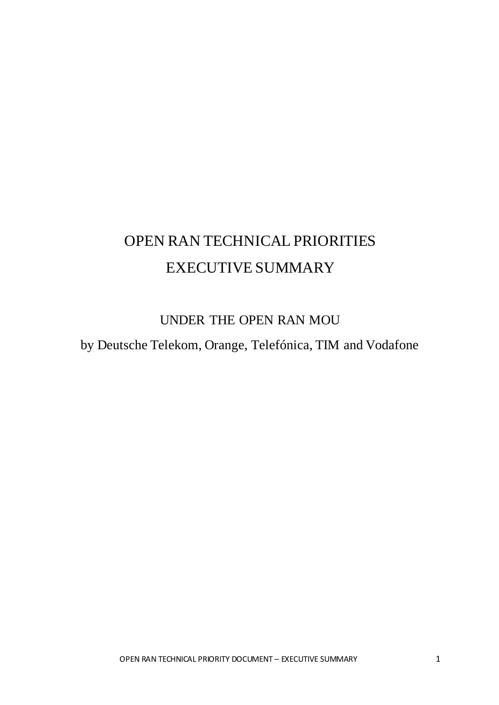# OPEN RAN TECHNICAL PRIORITIES EXECUTIVE SUMMARY

# UNDER THE OPEN RAN MOU

by Deutsche Telekom, Orange, Telefónica, TIM and Vodafone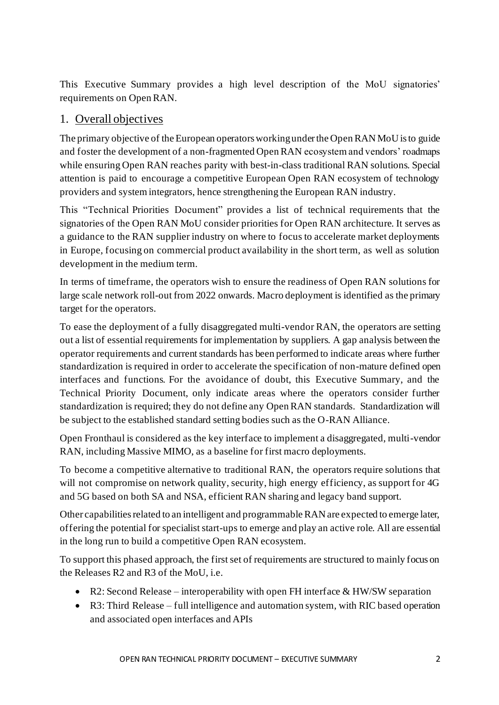This Executive Summary provides a high level description of the MoU signatories' requirements on Open RAN.

#### 1. Overall objectives

The primary objective of the European operators workingunder the Open RAN MoU is to guide and foster the development of a non-fragmented Open RAN ecosystem and vendors' roadmaps while ensuring Open RAN reaches parity with best-in-class traditional RAN solutions. Special attention is paid to encourage a competitive European Open RAN ecosystem of technology providers and system integrators, hence strengthening the European RAN industry.

This "Technical Priorities Document" provides a list of technical requirements that the signatories of the Open RAN MoU consider priorities for Open RAN architecture. It serves as a guidance to the RAN supplier industry on where to focus to accelerate market deployments in Europe, focusing on commercial product availability in the short term, as well as solution development in the medium term.

In terms of timeframe, the operators wish to ensure the readiness of Open RAN solutions for large scale network roll-out from 2022 onwards. Macro deployment is identified as the primary target for the operators.

To ease the deployment of a fully disaggregated multi-vendor RAN, the operators are setting out a list of essential requirements for implementation by suppliers. A gap analysis between the operator requirements and current standards has been performed to indicate areas where further standardization is required in order to accelerate the specification of non-mature defined open interfaces and functions. For the avoidance of doubt, this Executive Summary, and the Technical Priority Document, only indicate areas where the operators consider further standardization is required; they do not define any Open RAN standards. Standardization will be subject to the established standard setting bodies such as the O-RAN Alliance.

Open Fronthaul is considered as the key interface to implement a disaggregated, multi-vendor RAN, including Massive MIMO, as a baseline for first macro deployments.

To become a competitive alternative to traditional RAN, the operators require solutions that will not compromise on network quality, security, high energy efficiency, as support for 4G and 5G based on both SA and NSA, efficient RAN sharing and legacy band support.

Other capabilities related to an intelligent and programmable RAN are expected to emerge later, offering the potential for specialist start-ups to emerge and play an active role. All are essential in the long run to build a competitive Open RAN ecosystem.

To support this phased approach, the first set of requirements are structured to mainly focus on the Releases R2 and R3 of the MoU, i.e.

- R2: Second Release interoperability with open FH interface & HW/SW separation
- R3: Third Release full intelligence and automation system, with RIC based operation and associated open interfaces and APIs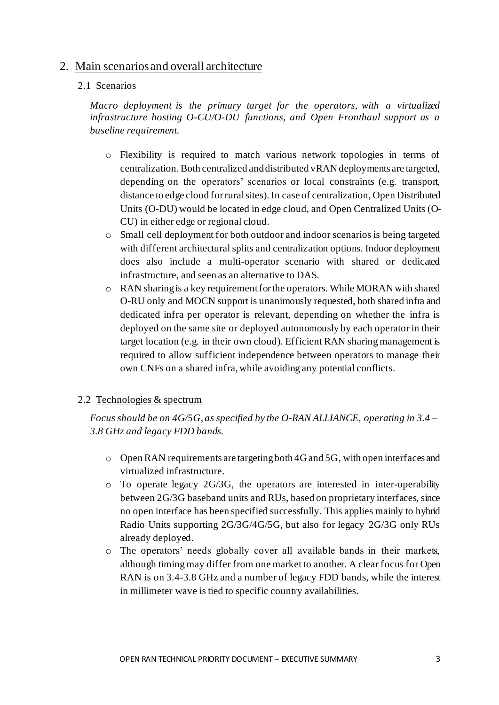#### 2. Main scenarios and overall architecture

#### 2.1 Scenarios

*Macro deployment is the primary target for the operators, with a virtualized infrastructure hosting O-CU/O-DU functions, and Open Fronthaul support as a baseline requirement.*

- o Flexibility is required to match various network topologies in terms of centralization. Both centralized and distributed vRAN deployments are targeted, depending on the operators' scenarios or local constraints (e.g. transport, distance to edge cloud for rural sites). In case of centralization, Open Distributed Units (O-DU) would be located in edge cloud, and Open Centralized Units (O-CU) in either edge or regional cloud.
- o Small cell deployment for both outdoor and indoor scenarios is being targeted with different architectural splits and centralization options. Indoor deployment does also include a multi-operator scenario with shared or dedicated infrastructure, and seen as an alternative to DAS.
- o RAN sharing is a key requirement for the operators. While MORAN with shared O-RU only and MOCN support is unanimously requested, both shared infra and dedicated infra per operator is relevant, depending on whether the infra is deployed on the same site or deployed autonomously by each operator in their target location (e.g. in their own cloud). Efficient RAN sharing management is required to allow sufficient independence between operators to manage their own CNFs on a shared infra, while avoiding any potential conflicts.

#### 2.2 Technologies & spectrum

*Focus should be on 4G/5G, as specified by the O-RAN ALLIANCE, operating in 3.4 – 3.8 GHz and legacy FDD bands.*

- o Open RAN requirements are targeting both 4G and 5G, with open interfaces and virtualized infrastructure.
- o To operate legacy 2G/3G, the operators are interested in inter-operability between 2G/3G baseband units and RUs, based on proprietary interfaces, since no open interface has been specified successfully. This applies mainly to hybrid Radio Units supporting 2G/3G/4G/5G, but also for legacy 2G/3G only RUs already deployed.
- o The operators' needs globally cover all available bands in their markets, although timing may differ from one market to another. A clear focus for Open RAN is on 3.4-3.8 GHz and a number of legacy FDD bands, while the interest in millimeter wave is tied to specific country availabilities.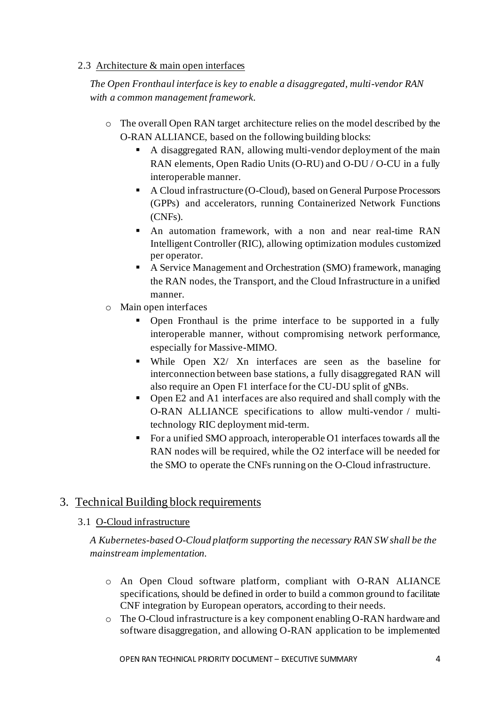#### 2.3 Architecture & main open interfaces

*The Open Fronthaul interface is key to enable a disaggregated, multi-vendor RAN with a common management framework.*

- o The overall Open RAN target architecture relies on the model described by the O-RAN ALLIANCE, based on the following building blocks:
	- A disaggregated RAN, allowing multi-vendor deployment of the main RAN elements, Open Radio Units (O-RU) and O-DU / O-CU in a fully interoperable manner.
	- A Cloud infrastructure (O-Cloud), based on General Purpose Processors (GPPs) and accelerators, running Containerized Network Functions (CNFs).
	- An automation framework, with a non and near real-time RAN Intelligent Controller (RIC), allowing optimization modules customized per operator.
	- A Service Management and Orchestration (SMO) framework, managing the RAN nodes, the Transport, and the Cloud Infrastructure in a unified manner.
- o Main open interfaces
	- Open Fronthaul is the prime interface to be supported in a fully interoperable manner, without compromising network performance, especially for Massive-MIMO.
	- While Open X2/ Xn interfaces are seen as the baseline for interconnection between base stations, a fully disaggregated RAN will also require an Open F1 interface for the CU-DU split of gNBs.
	- Open E2 and A1 interfaces are also required and shall comply with the O-RAN ALLIANCE specifications to allow multi-vendor / multitechnology RIC deployment mid-term.
	- For a unified SMO approach, interoperable O1 interfaces towards all the RAN nodes will be required, while the O2 interface will be needed for the SMO to operate the CNFs running on the O-Cloud infrastructure.

### 3. Technical Building block requirements

#### 3.1 O-Cloud infrastructure

*A Kubernetes-based O-Cloud platform supporting the necessary RAN SW shall be the mainstream implementation.*

- o An Open Cloud software platform, compliant with O-RAN ALIANCE specifications, should be defined in order to build a common ground to facilitate CNF integration by European operators, according to their needs.
- o The O-Cloud infrastructure is a key component enabling O-RAN hardware and software disaggregation, and allowing O-RAN application to be implemented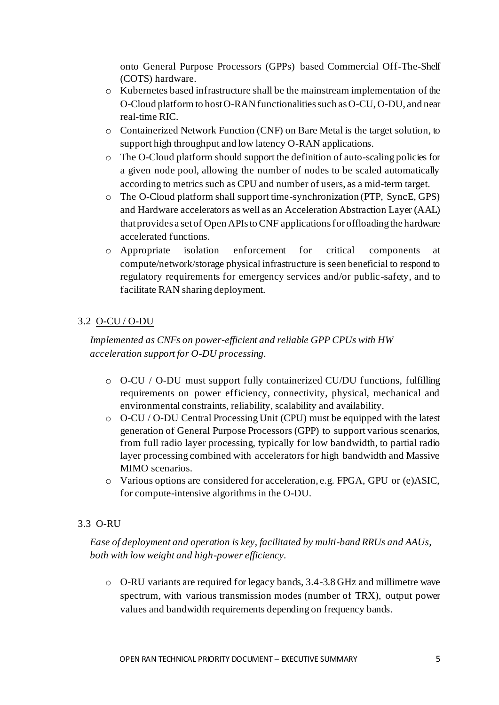onto General Purpose Processors (GPPs) based Commercial Off-The-Shelf (COTS) hardware.

- o Kubernetes based infrastructure shall be the mainstream implementation of the O-Cloud platform to host O-RAN functionalities such as O-CU, O-DU, and near real-time RIC.
- o Containerized Network Function (CNF) on Bare Metal is the target solution, to support high throughput and low latency O-RAN applications.
- o The O-Cloud platform should support the definition of auto-scaling policies for a given node pool, allowing the number of nodes to be scaled automatically according to metrics such as CPU and number of users, as a mid-term target.
- o The O-Cloud platform shall support time-synchronization (PTP, SyncE, GPS) and Hardware accelerators as well as an Acceleration Abstraction Layer (AAL) that provides a set of Open APIs to CNF applicationsfor offloading the hardware accelerated functions.
- o Appropriate isolation enforcement for critical components at compute/network/storage physical infrastructure is seen beneficial to respond to regulatory requirements for emergency services and/or public-safety, and to facilitate RAN sharing deployment.

#### 3.2 O-CU / O-DU

*Implemented as CNFs on power-efficient and reliable GPP CPUs with HW acceleration support for O-DU processing.*

- $\circ$  O-CU / O-DU must support fully containerized CU/DU functions, fulfilling requirements on power efficiency, connectivity, physical, mechanical and environmental constraints, reliability, scalability and availability.
- o O-CU / O-DU Central Processing Unit (CPU) must be equipped with the latest generation of General Purpose Processors (GPP) to support various scenarios, from full radio layer processing, typically for low bandwidth, to partial radio layer processing combined with accelerators for high bandwidth and Massive MIMO scenarios.
- o Various options are considered for acceleration, e.g. FPGA, GPU or (e)ASIC, for compute-intensive algorithms in the O-DU.

#### 3.3 O-RU

#### *Ease of deployment and operation is key, facilitated by multi-band RRUs and AAUs, both with low weight and high-power efficiency.*

o O-RU variants are required for legacy bands, 3.4-3.8 GHz and millimetre wave spectrum, with various transmission modes (number of TRX), output power values and bandwidth requirements depending on frequency bands.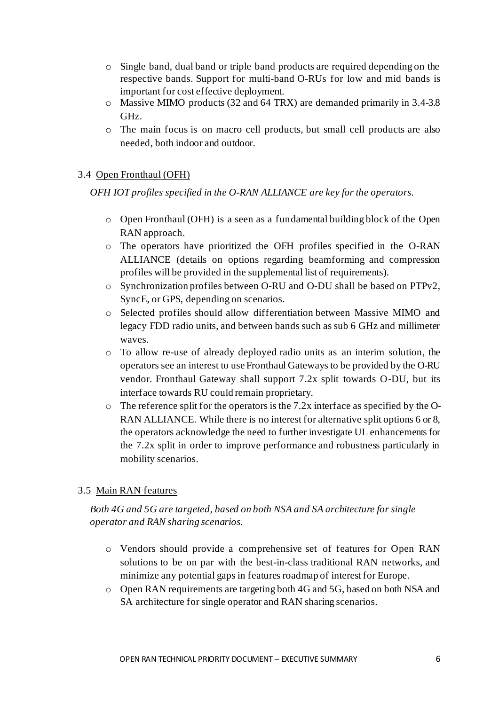- o Single band, dual band or triple band products are required depending on the respective bands. Support for multi-band O-RUs for low and mid bands is important for cost effective deployment.
- o Massive MIMO products (32 and 64 TRX) are demanded primarily in 3.4-3.8 GHz.
- o The main focus is on macro cell products, but small cell products are also needed, both indoor and outdoor.

#### 3.4 Open Fronthaul (OFH)

*OFH IOT profiles specified in the O-RAN ALLIANCE are key for the operators.*

- o Open Fronthaul (OFH) is a seen as a fundamental building block of the Open RAN approach.
- o The operators have prioritized the OFH profiles specified in the O-RAN ALLIANCE (details on options regarding beamforming and compression profiles will be provided in the supplemental list of requirements).
- o Synchronization profiles between O-RU and O-DU shall be based on PTPv2, SyncE, or GPS, depending on scenarios.
- o Selected profiles should allow differentiation between Massive MIMO and legacy FDD radio units, and between bands such as sub 6 GHz and millimeter waves.
- o To allow re-use of already deployed radio units as an interim solution, the operators see an interest to use Fronthaul Gateways to be provided by the O-RU vendor. Fronthaul Gateway shall support 7.2x split towards O-DU, but its interface towards RU could remain proprietary.
- o The reference split for the operators is the 7.2x interface as specified by the O-RAN ALLIANCE. While there is no interest for alternative split options 6 or 8, the operators acknowledge the need to further investigate UL enhancements for the 7.2x split in order to improve performance and robustness particularly in mobility scenarios.

#### 3.5 Main RAN features

#### *Both 4G and 5G are targeted, based on both NSA and SA architecture for single operator and RAN sharing scenarios.*

- o Vendors should provide a comprehensive set of features for Open RAN solutions to be on par with the best-in-class traditional RAN networks, and minimize any potential gaps in features roadmap of interest for Europe.
- o Open RAN requirements are targeting both 4G and 5G, based on both NSA and SA architecture for single operator and RAN sharing scenarios.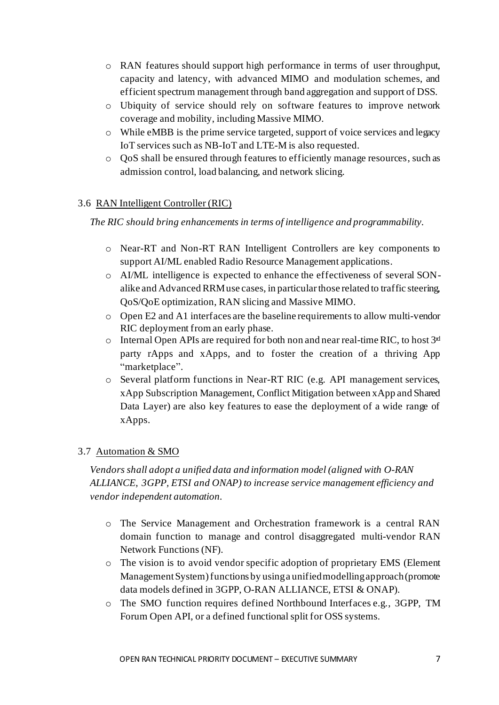- o RAN features should support high performance in terms of user throughput, capacity and latency, with advanced MIMO and modulation schemes, and efficient spectrum management through band aggregation and support of DSS.
- o Ubiquity of service should rely on software features to improve network coverage and mobility, including Massive MIMO.
- o While eMBB is the prime service targeted, support of voice services and legacy IoT services such as NB-IoT and LTE-M is also requested.
- o QoS shall be ensured through features to efficiently manage resources, such as admission control, load balancing, and network slicing.

#### 3.6 RAN Intelligent Controller (RIC)

*The RIC should bring enhancements in terms of intelligence and programmability.*

- o Near-RT and Non-RT RAN Intelligent Controllers are key components to support AI/ML enabled Radio Resource Management applications.
- o AI/ML intelligence is expected to enhance the effectiveness of several SONalike and Advanced RRM use cases, in particular those related to traffic steering, QoS/QoE optimization, RAN slicing and Massive MIMO.
- o Open E2 and A1 interfaces are the baseline requirements to allow multi-vendor RIC deployment from an early phase.
- $\circ$  Internal Open APIs are required for both non and near real-time RIC, to host  $3<sup>rd</sup>$ party rApps and xApps, and to foster the creation of a thriving App "marketplace".
- o Several platform functions in Near-RT RIC (e.g. API management services, xApp Subscription Management, Conflict Mitigation between xApp and Shared Data Layer) are also key features to ease the deployment of a wide range of xApps.

#### 3.7 Automation & SMO

*Vendors shall adopt a unified data and information model (aligned with O-RAN ALLIANCE, 3GPP, ETSI and ONAP) to increase service management efficiency and vendor independent automation.*

- o The Service Management and Orchestration framework is a central RAN domain function to manage and control disaggregated multi-vendor RAN Network Functions (NF).
- o The vision is to avoid vendor specific adoption of proprietary EMS (Element Management System) functions by using a unified modelling approach (promote data models defined in 3GPP, O-RAN ALLIANCE, ETSI & ONAP).
- o The SMO function requires defined Northbound Interfaces e.g., 3GPP, TM Forum Open API, or a defined functional split for OSS systems.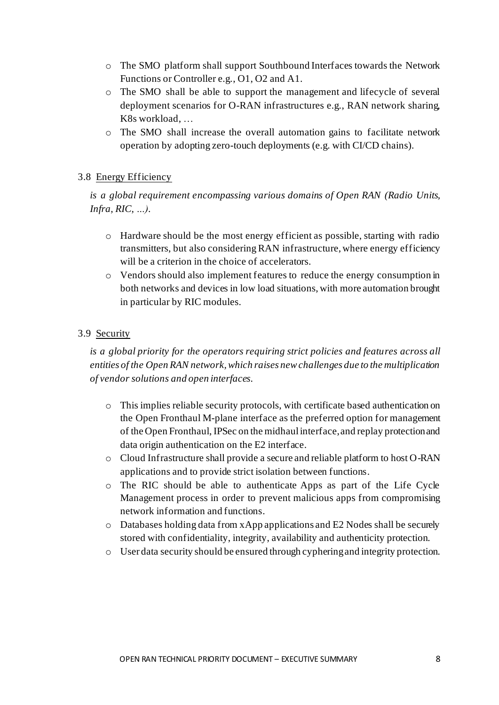- o The SMO platform shall support Southbound Interfaces towards the Network Functions or Controller e.g., O1, O2 and A1.
- o The SMO shall be able to support the management and lifecycle of several deployment scenarios for O-RAN infrastructures e.g., RAN network sharing, K8s workload, …
- o The SMO shall increase the overall automation gains to facilitate network operation by adopting zero-touch deployments (e.g. with CI/CD chains).

#### 3.8 Energy Efficiency

*is a global requirement encompassing various domains of Open RAN (Radio Units, Infra, RIC, …).*

- o Hardware should be the most energy efficient as possible, starting with radio transmitters, but also considering RAN infrastructure, where energy efficiency will be a criterion in the choice of accelerators.
- o Vendors should also implement features to reduce the energy consumption in both networks and devices in low load situations, with more automation brought in particular by RIC modules.

#### 3.9 Security

*is a global priority for the operators requiring strict policies and features across all entities of the Open RAN network, which raises new challenges due to the multiplication of vendor solutions and open interfaces.*

- o This implies reliable security protocols, with certificate based authentication on the Open Fronthaul M-plane interface as the preferred option for management of the Open Fronthaul,IPSec on the midhaul interface, and replay protection and data origin authentication on the E2 interface.
- o Cloud Infrastructure shall provide a secure and reliable platform to host O-RAN applications and to provide strict isolation between functions.
- o The RIC should be able to authenticate Apps as part of the Life Cycle Management process in order to prevent malicious apps from compromising network information and functions.
- o Databases holding data from xApp applications and E2 Nodes shall be securely stored with confidentiality, integrity, availability and authenticity protection.
- o User data security should be ensured through cyphering and integrity protection.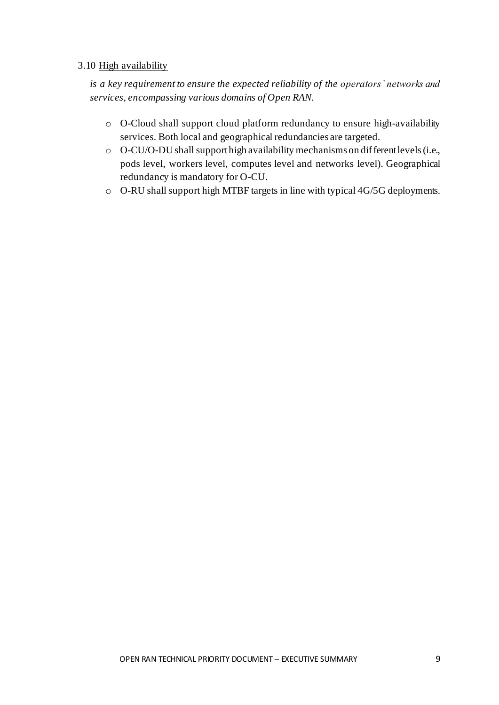#### 3.10 High availability

*is a key requirement to ensure the expected reliability of the operators' networks and services, encompassing various domains of Open RAN.*

- o O-Cloud shall support cloud platform redundancy to ensure high-availability services. Both local and geographical redundancies are targeted.
- o O-CU/O-DU shall support high availability mechanisms on different levels (i.e., pods level, workers level, computes level and networks level). Geographical redundancy is mandatory for O-CU.
- o O-RU shall support high MTBF targets in line with typical 4G/5G deployments.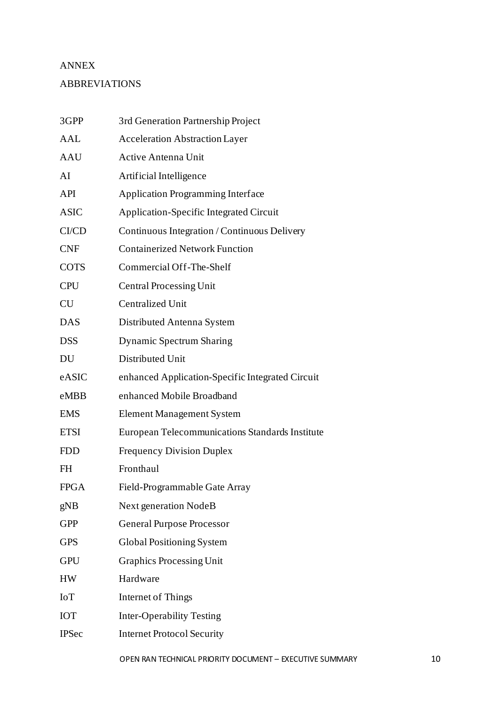## ANNEX ABBREVIATIONS

| 3GPP         | 3rd Generation Partnership Project               |
|--------------|--------------------------------------------------|
| <b>AAL</b>   | <b>Acceleration Abstraction Layer</b>            |
| AAU          | <b>Active Antenna Unit</b>                       |
| AI           | Artificial Intelligence                          |
| API          | <b>Application Programming Interface</b>         |
| <b>ASIC</b>  | <b>Application-Specific Integrated Circuit</b>   |
| CI/CD        | Continuous Integration / Continuous Delivery     |
| <b>CNF</b>   | <b>Containerized Network Function</b>            |
| <b>COTS</b>  | Commercial Off-The-Shelf                         |
| <b>CPU</b>   | <b>Central Processing Unit</b>                   |
| <b>CU</b>    | <b>Centralized Unit</b>                          |
| <b>DAS</b>   | Distributed Antenna System                       |
| <b>DSS</b>   | <b>Dynamic Spectrum Sharing</b>                  |
| DU           | Distributed Unit                                 |
| eASIC        | enhanced Application-Specific Integrated Circuit |
| eMBB         | enhanced Mobile Broadband                        |
| <b>EMS</b>   | <b>Element Management System</b>                 |
| <b>ETSI</b>  | European Telecommunications Standards Institute  |
| <b>FDD</b>   | <b>Frequency Division Duplex</b>                 |
| FH           | Fronthaul                                        |
| <b>FPGA</b>  | Field-Programmable Gate Array                    |
| gNB          | <b>Next generation NodeB</b>                     |
| <b>GPP</b>   | <b>General Purpose Processor</b>                 |
| <b>GPS</b>   | Global Positioning System                        |
| <b>GPU</b>   | <b>Graphics Processing Unit</b>                  |
| HW           | Hardware                                         |
| IoT          | Internet of Things                               |
| <b>IOT</b>   | <b>Inter-Operability Testing</b>                 |
| <b>IPSec</b> | <b>Internet Protocol Security</b>                |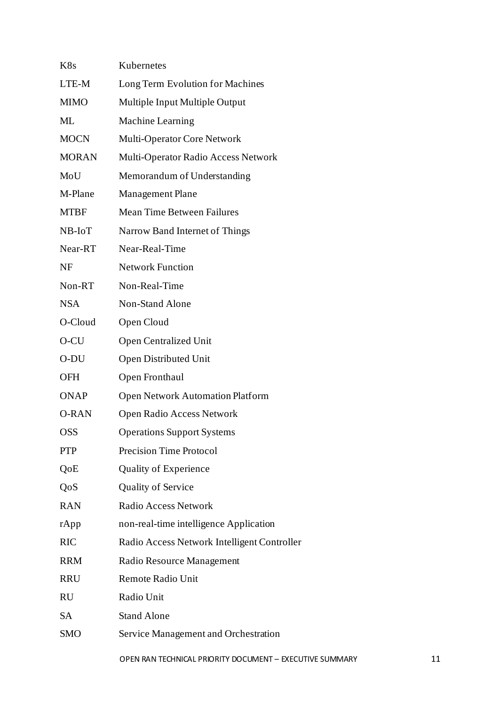| K8s          | Kubernetes                                  |
|--------------|---------------------------------------------|
| LTE-M        | Long Term Evolution for Machines            |
| MIMO         | Multiple Input Multiple Output              |
| ML           | <b>Machine Learning</b>                     |
| <b>MOCN</b>  | Multi-Operator Core Network                 |
| <b>MORAN</b> | Multi-Operator Radio Access Network         |
| MoU          | Memorandum of Understanding                 |
| M-Plane      | <b>Management Plane</b>                     |
| MTBF         | <b>Mean Time Between Failures</b>           |
| NB-IoT       | Narrow Band Internet of Things              |
| Near-RT      | Near-Real-Time                              |
| NF           | <b>Network Function</b>                     |
| Non-RT       | Non-Real-Time                               |
| <b>NSA</b>   | Non-Stand Alone                             |
| O-Cloud      | Open Cloud                                  |
| O-CU         | <b>Open Centralized Unit</b>                |
| O-DU         | <b>Open Distributed Unit</b>                |
| OFH          | Open Fronthaul                              |
| <b>ONAP</b>  | <b>Open Network Automation Platform</b>     |
| <b>O-RAN</b> | Open Radio Access Network                   |
| OSS          | <b>Operations Support Systems</b>           |
| PTP          | <b>Precision Time Protocol</b>              |
| QoE          | <b>Quality of Experience</b>                |
| QoS          | <b>Quality of Service</b>                   |
| <b>RAN</b>   | <b>Radio Access Network</b>                 |
| rApp         | non-real-time intelligence Application      |
| RIC          | Radio Access Network Intelligent Controller |
| <b>RRM</b>   | Radio Resource Management                   |
| RRU          | <b>Remote Radio Unit</b>                    |
| RU           | Radio Unit                                  |
| SA           | <b>Stand Alone</b>                          |
| SMO          | Service Management and Orchestration        |